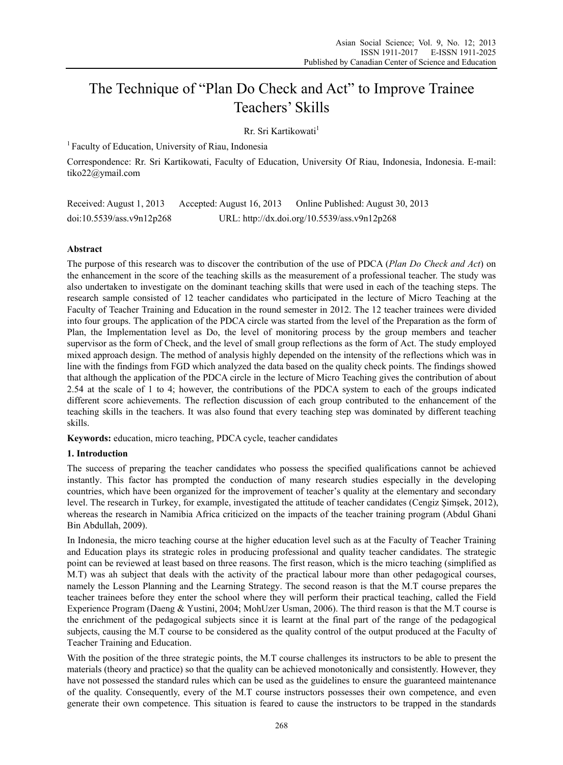# The Technique of "Plan Do Check and Act" to Improve Trainee Teachers' Skills

Rr. Sri Kartikowati<sup>1</sup>

<sup>1</sup> Faculty of Education, University of Riau, Indonesia

Correspondence: Rr. Sri Kartikowati, Faculty of Education, University Of Riau, Indonesia, Indonesia. E-mail: tiko22@ymail.com

Received: August 1, 2013 Accepted: August 16, 2013 Online Published: August 30, 2013 doi:10.5539/ass.v9n12p268 URL: http://dx.doi.org/10.5539/ass.v9n12p268

# **Abstract**

The purpose of this research was to discover the contribution of the use of PDCA (*Plan Do Check and Act*) on the enhancement in the score of the teaching skills as the measurement of a professional teacher. The study was also undertaken to investigate on the dominant teaching skills that were used in each of the teaching steps. The research sample consisted of 12 teacher candidates who participated in the lecture of Micro Teaching at the Faculty of Teacher Training and Education in the round semester in 2012. The 12 teacher trainees were divided into four groups. The application of the PDCA circle was started from the level of the Preparation as the form of Plan, the Implementation level as Do, the level of monitoring process by the group members and teacher supervisor as the form of Check, and the level of small group reflections as the form of Act. The study employed mixed approach design. The method of analysis highly depended on the intensity of the reflections which was in line with the findings from FGD which analyzed the data based on the quality check points. The findings showed that although the application of the PDCA circle in the lecture of Micro Teaching gives the contribution of about 2.54 at the scale of 1 to 4; however, the contributions of the PDCA system to each of the groups indicated different score achievements. The reflection discussion of each group contributed to the enhancement of the teaching skills in the teachers. It was also found that every teaching step was dominated by different teaching skills.

**Keywords:** education, micro teaching, PDCA cycle, teacher candidates

## **1. Introduction**

The success of preparing the teacher candidates who possess the specified qualifications cannot be achieved instantly. This factor has prompted the conduction of many research studies especially in the developing countries, which have been organized for the improvement of teacher's quality at the elementary and secondary level. The research in Turkey, for example, investigated the attitude of teacher candidates (Cengiz Şimşek, 2012), whereas the research in Namibia Africa criticized on the impacts of the teacher training program (Abdul Ghani Bin Abdullah, 2009).

In Indonesia, the micro teaching course at the higher education level such as at the Faculty of Teacher Training and Education plays its strategic roles in producing professional and quality teacher candidates. The strategic point can be reviewed at least based on three reasons. The first reason, which is the micro teaching (simplified as M.T) was ah subject that deals with the activity of the practical labour more than other pedagogical courses, namely the Lesson Planning and the Learning Strategy. The second reason is that the M.T course prepares the teacher trainees before they enter the school where they will perform their practical teaching, called the Field Experience Program (Daeng & Yustini, 2004; MohUzer Usman, 2006). The third reason is that the M.T course is the enrichment of the pedagogical subjects since it is learnt at the final part of the range of the pedagogical subjects, causing the M.T course to be considered as the quality control of the output produced at the Faculty of Teacher Training and Education.

With the position of the three strategic points, the M.T course challenges its instructors to be able to present the materials (theory and practice) so that the quality can be achieved monotonically and consistently. However, they have not possessed the standard rules which can be used as the guidelines to ensure the guaranteed maintenance of the quality. Consequently, every of the M.T course instructors possesses their own competence, and even generate their own competence. This situation is feared to cause the instructors to be trapped in the standards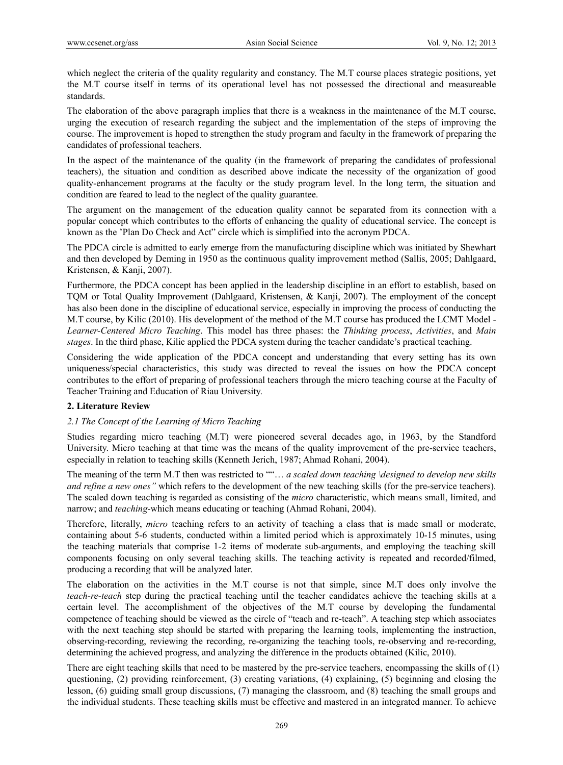which neglect the criteria of the quality regularity and constancy. The M.T course places strategic positions, yet the M.T course itself in terms of its operational level has not possessed the directional and measureable standards.

The elaboration of the above paragraph implies that there is a weakness in the maintenance of the M.T course, urging the execution of research regarding the subject and the implementation of the steps of improving the course. The improvement is hoped to strengthen the study program and faculty in the framework of preparing the candidates of professional teachers.

In the aspect of the maintenance of the quality (in the framework of preparing the candidates of professional teachers), the situation and condition as described above indicate the necessity of the organization of good quality-enhancement programs at the faculty or the study program level. In the long term, the situation and condition are feared to lead to the neglect of the quality guarantee.

The argument on the management of the education quality cannot be separated from its connection with a popular concept which contributes to the efforts of enhancing the quality of educational service. The concept is known as the 'Plan Do Check and Act" circle which is simplified into the acronym PDCA.

The PDCA circle is admitted to early emerge from the manufacturing discipline which was initiated by Shewhart and then developed by Deming in 1950 as the continuous quality improvement method (Sallis, 2005; Dahlgaard, Kristensen, & Kanji, 2007).

Furthermore, the PDCA concept has been applied in the leadership discipline in an effort to establish, based on TQM or Total Quality Improvement (Dahlgaard, Kristensen, & Kanji, 2007). The employment of the concept has also been done in the discipline of educational service, especially in improving the process of conducting the M.T course, by Kilic (2010). His development of the method of the M.T course has produced the LCMT Model - *Learner-Centered Micro Teaching*. This model has three phases: the *Thinking process*, *Activities*, and *Main stages*. In the third phase, Kilic applied the PDCA system during the teacher candidate's practical teaching.

Considering the wide application of the PDCA concept and understanding that every setting has its own uniqueness/special characteristics, this study was directed to reveal the issues on how the PDCA concept contributes to the effort of preparing of professional teachers through the micro teaching course at the Faculty of Teacher Training and Education of Riau University.

# **2. Literature Review**

# *2.1 The Concept of the Learning of Micro Teaching*

Studies regarding micro teaching (M.T) were pioneered several decades ago, in 1963, by the Standford University. Micro teaching at that time was the means of the quality improvement of the pre-service teachers, especially in relation to teaching skills (Kenneth Jerich, 1987; Ahmad Rohani, 2004).

The meaning of the term M.T then was restricted to ""... *a scaled down teaching \designed to develop new skills and refine a new ones"* which refers to the development of the new teaching skills (for the pre-service teachers). The scaled down teaching is regarded as consisting of the *micro* characteristic, which means small, limited, and narrow; and *teaching*-which means educating or teaching (Ahmad Rohani, 2004).

Therefore, literally, *micro* teaching refers to an activity of teaching a class that is made small or moderate, containing about 5-6 students, conducted within a limited period which is approximately 10-15 minutes, using the teaching materials that comprise 1-2 items of moderate sub-arguments, and employing the teaching skill components focusing on only several teaching skills. The teaching activity is repeated and recorded/filmed, producing a recording that will be analyzed later.

The elaboration on the activities in the M.T course is not that simple, since M.T does only involve the *teach-re-teach* step during the practical teaching until the teacher candidates achieve the teaching skills at a certain level. The accomplishment of the objectives of the M.T course by developing the fundamental competence of teaching should be viewed as the circle of "teach and re-teach". A teaching step which associates with the next teaching step should be started with preparing the learning tools, implementing the instruction, observing-recording, reviewing the recording, re-organizing the teaching tools, re-observing and re-recording, determining the achieved progress, and analyzing the difference in the products obtained (Kilic, 2010).

There are eight teaching skills that need to be mastered by the pre-service teachers, encompassing the skills of (1) questioning, (2) providing reinforcement, (3) creating variations, (4) explaining, (5) beginning and closing the lesson, (6) guiding small group discussions, (7) managing the classroom, and (8) teaching the small groups and the individual students. These teaching skills must be effective and mastered in an integrated manner. To achieve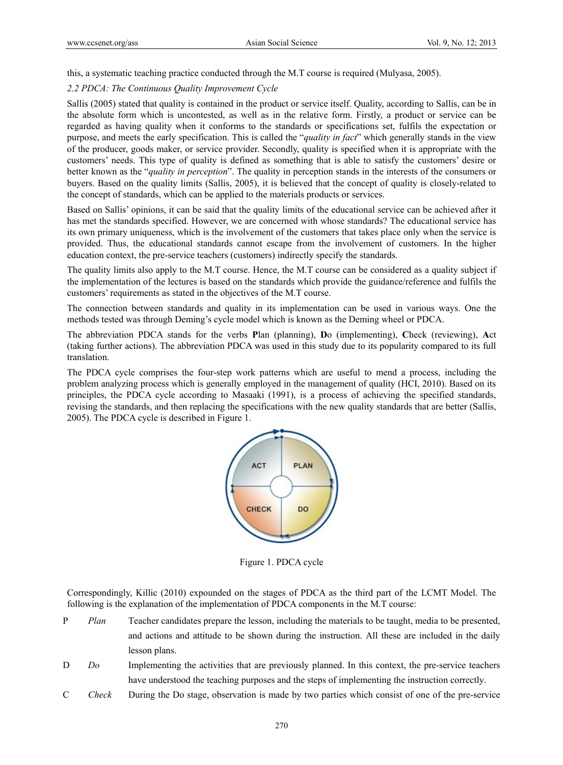this, a systematic teaching practice conducted through the M.T course is required (Mulyasa, 2005).

## *2.2 PDCA: The Continuous Quality Improvement Cycle*

Sallis (2005) stated that quality is contained in the product or service itself. Quality, according to Sallis, can be in the absolute form which is uncontested, as well as in the relative form. Firstly, a product or service can be regarded as having quality when it conforms to the standards or specifications set, fulfils the expectation or purpose, and meets the early specification. This is called the "*quality in fact*" which generally stands in the view of the producer, goods maker, or service provider. Secondly, quality is specified when it is appropriate with the customers' needs. This type of quality is defined as something that is able to satisfy the customers' desire or better known as the "*quality in perception*". The quality in perception stands in the interests of the consumers or buyers. Based on the quality limits (Sallis, 2005), it is believed that the concept of quality is closely-related to the concept of standards, which can be applied to the materials products or services.

Based on Sallis' opinions, it can be said that the quality limits of the educational service can be achieved after it has met the standards specified. However, we are concerned with whose standards? The educational service has its own primary uniqueness, which is the involvement of the customers that takes place only when the service is provided. Thus, the educational standards cannot escape from the involvement of customers. In the higher education context, the pre-service teachers (customers) indirectly specify the standards.

The quality limits also apply to the M.T course. Hence, the M.T course can be considered as a quality subject if the implementation of the lectures is based on the standards which provide the guidance/reference and fulfils the customers' requirements as stated in the objectives of the M.T course.

The connection between standards and quality in its implementation can be used in various ways. One the methods tested was through Deming's cycle model which is known as the Deming wheel or PDCA.

The abbreviation PDCA stands for the verbs **P**lan (planning), **D**o (implementing), **C**heck (reviewing), **A**ct (taking further actions). The abbreviation PDCA was used in this study due to its popularity compared to its full translation.

The PDCA cycle comprises the four-step work patterns which are useful to mend a process, including the problem analyzing process which is generally employed in the management of quality (HCI, 2010). Based on its principles, the PDCA cycle according to Masaaki (1991), is a process of achieving the specified standards, revising the standards, and then replacing the specifications with the new quality standards that are better (Sallis, 2005). The PDCA cycle is described in Figure 1.



Figure 1. PDCA cycle

Correspondingly, Killic (2010) expounded on the stages of PDCA as the third part of the LCMT Model. The following is the explanation of the implementation of PDCA components in the M.T course:

- P *Plan* Teacher candidates prepare the lesson, including the materials to be taught, media to be presented, and actions and attitude to be shown during the instruction. All these are included in the daily lesson plans.
- D *Do* Implementing the activities that are previously planned. In this context, the pre-service teachers have understood the teaching purposes and the steps of implementing the instruction correctly.
- C *Check* During the Do stage, observation is made by two parties which consist of one of the pre-service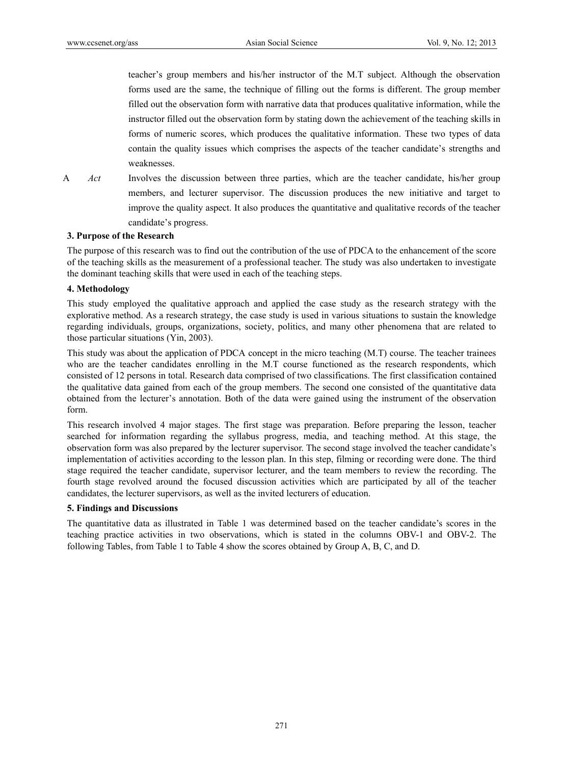teacher's group members and his/her instructor of the M.T subject. Although the observation forms used are the same, the technique of filling out the forms is different. The group member filled out the observation form with narrative data that produces qualitative information, while the instructor filled out the observation form by stating down the achievement of the teaching skills in forms of numeric scores, which produces the qualitative information. These two types of data contain the quality issues which comprises the aspects of the teacher candidate's strengths and weaknesses.

A *Act* Involves the discussion between three parties, which are the teacher candidate, his/her group members, and lecturer supervisor. The discussion produces the new initiative and target to improve the quality aspect. It also produces the quantitative and qualitative records of the teacher candidate's progress.

#### **3. Purpose of the Research**

The purpose of this research was to find out the contribution of the use of PDCA to the enhancement of the score of the teaching skills as the measurement of a professional teacher. The study was also undertaken to investigate the dominant teaching skills that were used in each of the teaching steps.

### **4. Methodology**

This study employed the qualitative approach and applied the case study as the research strategy with the explorative method. As a research strategy, the case study is used in various situations to sustain the knowledge regarding individuals, groups, organizations, society, politics, and many other phenomena that are related to those particular situations (Yin, 2003).

This study was about the application of PDCA concept in the micro teaching (M.T) course. The teacher trainees who are the teacher candidates enrolling in the M.T course functioned as the research respondents, which consisted of 12 persons in total. Research data comprised of two classifications. The first classification contained the qualitative data gained from each of the group members. The second one consisted of the quantitative data obtained from the lecturer's annotation. Both of the data were gained using the instrument of the observation form.

This research involved 4 major stages. The first stage was preparation. Before preparing the lesson, teacher searched for information regarding the syllabus progress, media, and teaching method. At this stage, the observation form was also prepared by the lecturer supervisor. The second stage involved the teacher candidate's implementation of activities according to the lesson plan. In this step, filming or recording were done. The third stage required the teacher candidate, supervisor lecturer, and the team members to review the recording. The fourth stage revolved around the focused discussion activities which are participated by all of the teacher candidates, the lecturer supervisors, as well as the invited lecturers of education.

#### **5. Findings and Discussions**

The quantitative data as illustrated in Table 1 was determined based on the teacher candidate's scores in the teaching practice activities in two observations, which is stated in the columns OBV-1 and OBV-2. The following Tables, from Table 1 to Table 4 show the scores obtained by Group A, B, C, and D.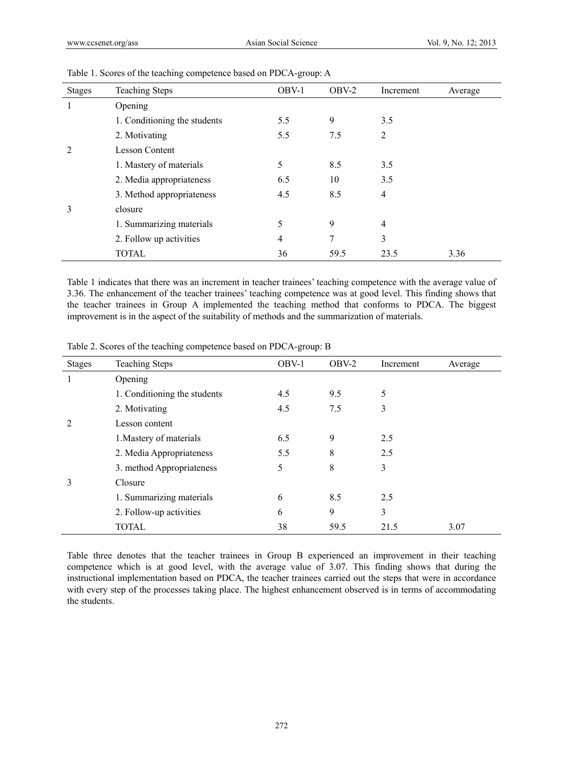| <b>Stages</b> | <b>Teaching Steps</b>        | $OBV-1$        | OBV-2 | Increment      | Average |
|---------------|------------------------------|----------------|-------|----------------|---------|
|               | Opening                      |                |       |                |         |
|               | 1. Conditioning the students | 5.5            | 9     | 3.5            |         |
|               | 2. Motivating                | 5.5            | 7.5   | 2              |         |
| 2             | <b>Lesson Content</b>        |                |       |                |         |
|               | 1. Mastery of materials      | 5              | 8.5   | 3.5            |         |
|               | 2. Media appropriateness     | 6.5            | 10    | 3.5            |         |
|               | 3. Method appropriateness    | 4.5            | 8.5   | $\overline{4}$ |         |
| 3             | closure                      |                |       |                |         |
|               | 1. Summarizing materials     | 5              | 9     | 4              |         |
|               | 2. Follow up activities      | $\overline{4}$ | 7     | 3              |         |
|               | <b>TOTAL</b>                 | 36             | 59.5  | 23.5           | 3.36    |

Table 1. Scores of the teaching competence based on PDCA-group: A

Table 1 indicates that there was an increment in teacher trainees' teaching competence with the average value of 3.36. The enhancement of the teacher trainees' teaching competence was at good level. This finding shows that the teacher trainees in Group A implemented the teaching method that conforms to PDCA. The biggest improvement is in the aspect of the suitability of methods and the summarization of materials.

| <b>Stages</b>  | <b>Teaching Steps</b>        | OBV-1 | OBV-2 | Increment | Average |
|----------------|------------------------------|-------|-------|-----------|---------|
|                | Opening                      |       |       |           |         |
|                | 1. Conditioning the students | 4.5   | 9.5   | 5         |         |
|                | 2. Motivating                | 4.5   | 7.5   | 3         |         |
| $\overline{c}$ | Lesson content               |       |       |           |         |
|                | 1. Mastery of materials      | 6.5   | 9     | 2.5       |         |
|                | 2. Media Appropriateness     | 5.5   | 8     | 2.5       |         |
|                | 3. method Appropriateness    | 5     | 8     | 3         |         |
| 3              | Closure                      |       |       |           |         |
|                | 1. Summarizing materials     | 6     | 8.5   | 2.5       |         |
|                | 2. Follow-up activities      | 6     | 9     | 3         |         |
|                | TOTAL                        | 38    | 59.5  | 21.5      | 3.07    |

Table 2. Scores of the teaching competence based on PDCA-group: B

Table three denotes that the teacher trainees in Group B experienced an improvement in their teaching competence which is at good level, with the average value of 3.07. This finding shows that during the instructional implementation based on PDCA, the teacher trainees carried out the steps that were in accordance with every step of the processes taking place. The highest enhancement observed is in terms of accommodating the students.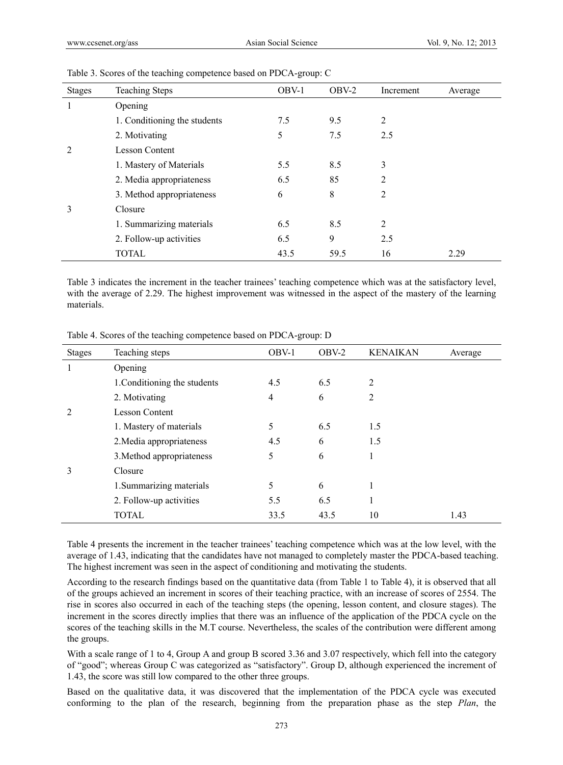| <b>Stages</b> | <b>Teaching Steps</b>        | OBV-1 | OBV-2 | Increment      | Average |
|---------------|------------------------------|-------|-------|----------------|---------|
|               | Opening                      |       |       |                |         |
|               | 1. Conditioning the students | 7.5   | 9.5   | 2              |         |
|               | 2. Motivating                | 5     | 7.5   | 2.5            |         |
| 2             | <b>Lesson Content</b>        |       |       |                |         |
|               | 1. Mastery of Materials      | 5.5   | 8.5   | 3              |         |
|               | 2. Media appropriateness     | 6.5   | 85    | $\overline{2}$ |         |
|               | 3. Method appropriateness    | 6     | 8     | 2              |         |
| 3             | Closure                      |       |       |                |         |
|               | 1. Summarizing materials     | 6.5   | 8.5   | 2              |         |
|               | 2. Follow-up activities      | 6.5   | 9     | 2.5            |         |
|               | TOTAL                        | 43.5  | 59.5  | 16             | 2.29    |

Table 3. Scores of the teaching competence based on PDCA-group: C

Table 3 indicates the increment in the teacher trainees' teaching competence which was at the satisfactory level, with the average of 2.29. The highest improvement was witnessed in the aspect of the mastery of the learning materials.

| <b>Stages</b>  | Teaching steps               | OBV-1 | OBV-2 | <b>KENAIKAN</b> | Average |
|----------------|------------------------------|-------|-------|-----------------|---------|
|                | Opening                      |       |       |                 |         |
|                | 1. Conditioning the students | 4.5   | 6.5   | 2               |         |
|                | 2. Motivating                | 4     | 6     | 2               |         |
| $\overline{2}$ | <b>Lesson Content</b>        |       |       |                 |         |
|                | 1. Mastery of materials      | 5     | 6.5   | 1.5             |         |
|                | 2. Media appropriateness     | 4.5   | 6     | 1.5             |         |
|                | 3. Method appropriateness    | 5     | 6     |                 |         |
| 3              | Closure                      |       |       |                 |         |
|                | 1. Summarizing materials     | 5     | 6     |                 |         |
|                | 2. Follow-up activities      | 5.5   | 6.5   |                 |         |
|                | TOTAL                        | 33.5  | 43.5  | 10              | 1.43    |

Table 4. Scores of the teaching competence based on PDCA-group: D

Table 4 presents the increment in the teacher trainees' teaching competence which was at the low level, with the average of 1.43, indicating that the candidates have not managed to completely master the PDCA-based teaching. The highest increment was seen in the aspect of conditioning and motivating the students.

According to the research findings based on the quantitative data (from Table 1 to Table 4), it is observed that all of the groups achieved an increment in scores of their teaching practice, with an increase of scores of 2554. The rise in scores also occurred in each of the teaching steps (the opening, lesson content, and closure stages). The increment in the scores directly implies that there was an influence of the application of the PDCA cycle on the scores of the teaching skills in the M.T course. Nevertheless, the scales of the contribution were different among the groups.

With a scale range of 1 to 4, Group A and group B scored 3.36 and 3.07 respectively, which fell into the category of "good"; whereas Group C was categorized as "satisfactory". Group D, although experienced the increment of 1.43, the score was still low compared to the other three groups.

Based on the qualitative data, it was discovered that the implementation of the PDCA cycle was executed conforming to the plan of the research, beginning from the preparation phase as the step *Plan*, the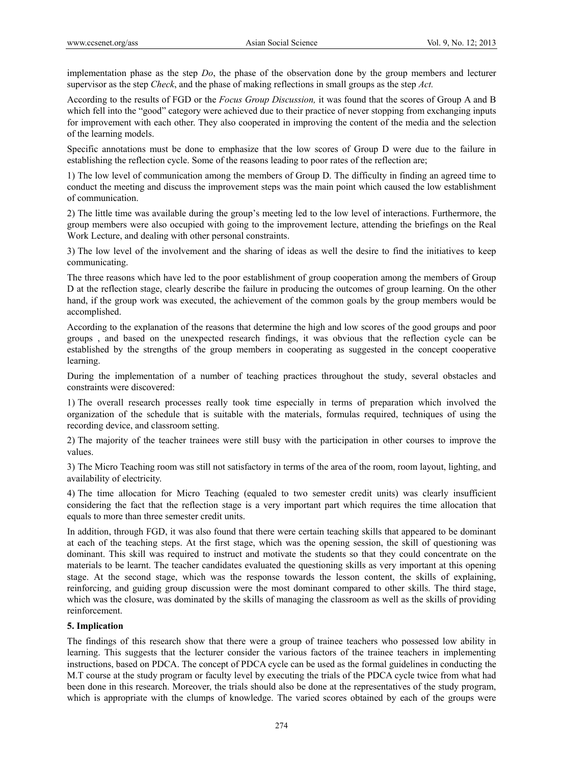implementation phase as the step *Do*, the phase of the observation done by the group members and lecturer supervisor as the step *Check*, and the phase of making reflections in small groups as the step *Act.* 

According to the results of FGD or the *Focus Group Discussion,* it was found that the scores of Group A and B which fell into the "good" category were achieved due to their practice of never stopping from exchanging inputs for improvement with each other. They also cooperated in improving the content of the media and the selection of the learning models.

Specific annotations must be done to emphasize that the low scores of Group D were due to the failure in establishing the reflection cycle. Some of the reasons leading to poor rates of the reflection are;

1) The low level of communication among the members of Group D. The difficulty in finding an agreed time to conduct the meeting and discuss the improvement steps was the main point which caused the low establishment of communication.

2) The little time was available during the group's meeting led to the low level of interactions. Furthermore, the group members were also occupied with going to the improvement lecture, attending the briefings on the Real Work Lecture, and dealing with other personal constraints.

3) The low level of the involvement and the sharing of ideas as well the desire to find the initiatives to keep communicating.

The three reasons which have led to the poor establishment of group cooperation among the members of Group D at the reflection stage, clearly describe the failure in producing the outcomes of group learning. On the other hand, if the group work was executed, the achievement of the common goals by the group members would be accomplished.

According to the explanation of the reasons that determine the high and low scores of the good groups and poor groups , and based on the unexpected research findings, it was obvious that the reflection cycle can be established by the strengths of the group members in cooperating as suggested in the concept cooperative learning.

During the implementation of a number of teaching practices throughout the study, several obstacles and constraints were discovered:

1) The overall research processes really took time especially in terms of preparation which involved the organization of the schedule that is suitable with the materials, formulas required, techniques of using the recording device, and classroom setting.

2) The majority of the teacher trainees were still busy with the participation in other courses to improve the values.

3) The Micro Teaching room was still not satisfactory in terms of the area of the room, room layout, lighting, and availability of electricity.

4) The time allocation for Micro Teaching (equaled to two semester credit units) was clearly insufficient considering the fact that the reflection stage is a very important part which requires the time allocation that equals to more than three semester credit units.

In addition, through FGD, it was also found that there were certain teaching skills that appeared to be dominant at each of the teaching steps. At the first stage, which was the opening session, the skill of questioning was dominant. This skill was required to instruct and motivate the students so that they could concentrate on the materials to be learnt. The teacher candidates evaluated the questioning skills as very important at this opening stage. At the second stage, which was the response towards the lesson content, the skills of explaining, reinforcing, and guiding group discussion were the most dominant compared to other skills. The third stage, which was the closure, was dominated by the skills of managing the classroom as well as the skills of providing reinforcement.

## **5. Implication**

The findings of this research show that there were a group of trainee teachers who possessed low ability in learning. This suggests that the lecturer consider the various factors of the trainee teachers in implementing instructions, based on PDCA. The concept of PDCA cycle can be used as the formal guidelines in conducting the M.T course at the study program or faculty level by executing the trials of the PDCA cycle twice from what had been done in this research. Moreover, the trials should also be done at the representatives of the study program, which is appropriate with the clumps of knowledge. The varied scores obtained by each of the groups were